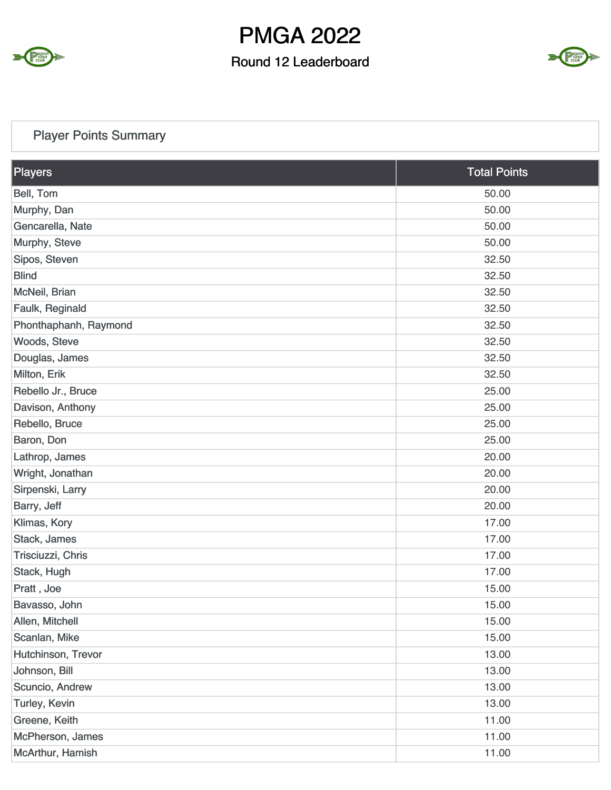

### Round 12 Leaderboard



### Player Points Summary

| Players               | <b>Total Points</b> |
|-----------------------|---------------------|
| Bell, Tom             | 50.00               |
| Murphy, Dan           | 50.00               |
| Gencarella, Nate      | 50.00               |
| Murphy, Steve         | 50.00               |
| Sipos, Steven         | 32.50               |
| <b>Blind</b>          | 32.50               |
| McNeil, Brian         | 32.50               |
| Faulk, Reginald       | 32.50               |
| Phonthaphanh, Raymond | 32.50               |
| Woods, Steve          | 32.50               |
| Douglas, James        | 32.50               |
| Milton, Erik          | 32.50               |
| Rebello Jr., Bruce    | 25.00               |
| Davison, Anthony      | 25.00               |
| Rebello, Bruce        | 25.00               |
| Baron, Don            | 25.00               |
| Lathrop, James        | 20.00               |
| Wright, Jonathan      | 20.00               |
| Sirpenski, Larry      | 20.00               |
| Barry, Jeff           | 20.00               |
| Klimas, Kory          | 17.00               |
| Stack, James          | 17.00               |
| Trisciuzzi, Chris     | 17.00               |
| Stack, Hugh           | 17.00               |
| Pratt, Joe            | 15.00               |
| Bavasso, John         | 15.00               |
| Allen, Mitchell       | 15.00               |
| Scanlan, Mike         | 15.00               |
| Hutchinson, Trevor    | 13.00               |
| Johnson, Bill         | 13.00               |
| Scuncio, Andrew       | 13.00               |
| Turley, Kevin         | 13.00               |
| Greene, Keith         | 11.00               |
| McPherson, James      | 11.00               |
| McArthur, Hamish      | 11.00               |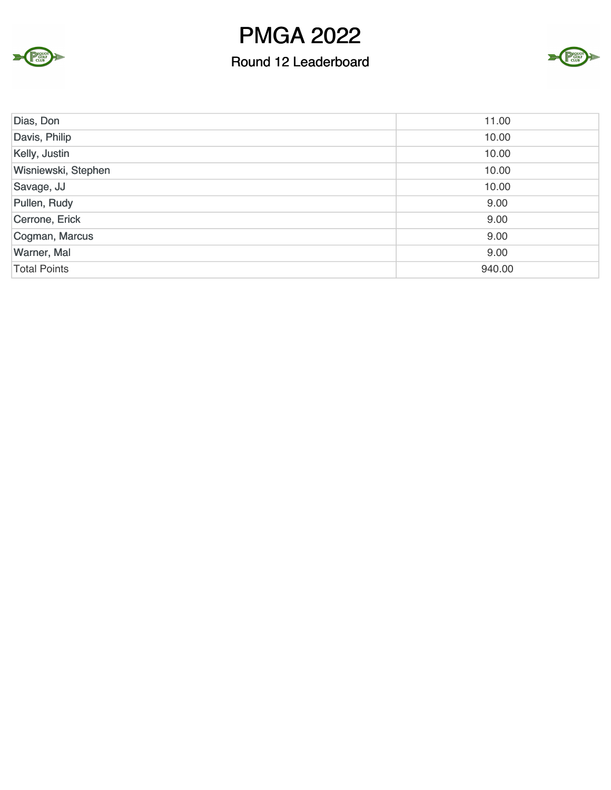

#### Round 12 Leaderboard



| Dias, Don           | 11.00  |
|---------------------|--------|
| Davis, Philip       | 10.00  |
| Kelly, Justin       | 10.00  |
| Wisniewski, Stephen | 10.00  |
| Savage, JJ          | 10.00  |
| Pullen, Rudy        | 9.00   |
| Cerrone, Erick      | 9.00   |
| Cogman, Marcus      | 9.00   |
| Warner, Mal         | 9.00   |
| <b>Total Points</b> | 940.00 |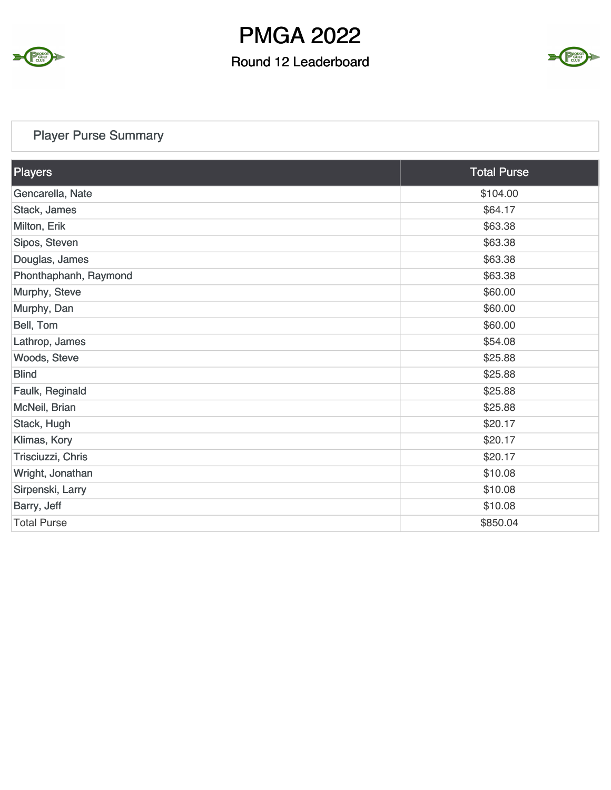

### Round 12 Leaderboard



### Player Purse Summary

| Players               | <b>Total Purse</b> |
|-----------------------|--------------------|
| Gencarella, Nate      | \$104.00           |
| Stack, James          | \$64.17            |
| Milton, Erik          | \$63.38            |
| Sipos, Steven         | \$63.38            |
| Douglas, James        | \$63.38            |
| Phonthaphanh, Raymond | \$63.38            |
| Murphy, Steve         | \$60.00            |
| Murphy, Dan           | \$60.00            |
| Bell, Tom             | \$60.00            |
| Lathrop, James        | \$54.08            |
| Woods, Steve          | \$25.88            |
| <b>Blind</b>          | \$25.88            |
| Faulk, Reginald       | \$25.88            |
| McNeil, Brian         | \$25.88            |
| Stack, Hugh           | \$20.17            |
| Klimas, Kory          | \$20.17            |
| Trisciuzzi, Chris     | \$20.17            |
| Wright, Jonathan      | \$10.08            |
| Sirpenski, Larry      | \$10.08            |
| Barry, Jeff           | \$10.08            |
| <b>Total Purse</b>    | \$850.04           |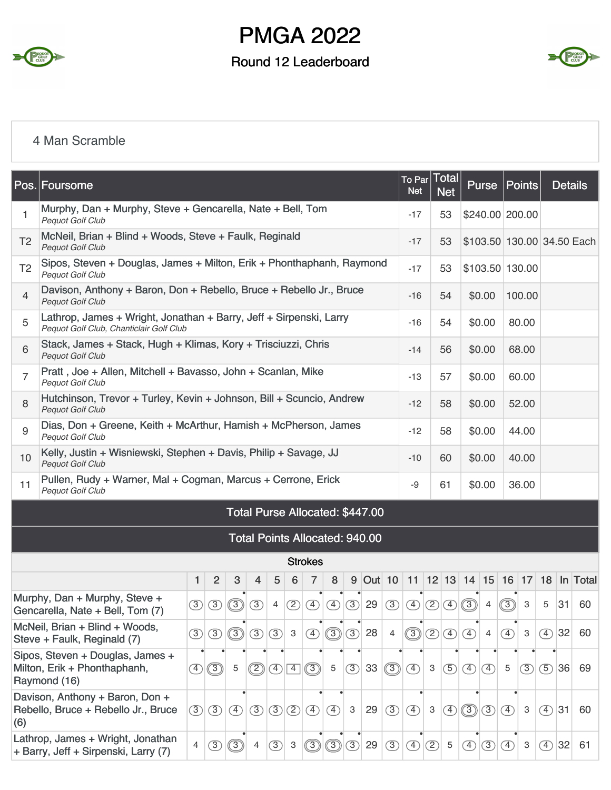

### Round 12 Leaderboard



#### 4 Man Scramble

|                | Pos. Foursome                                                                                                                                                   |                                                                                  |                |                                                                                                                                                                                                                            |               |               |                 |                |               |               |                                       |                           | To Par Total<br>Net           |               | <b>Net</b>    |               | <b>Purse</b>    |               | Points       |               | <b>Details</b> |                            |
|----------------|-----------------------------------------------------------------------------------------------------------------------------------------------------------------|----------------------------------------------------------------------------------|----------------|----------------------------------------------------------------------------------------------------------------------------------------------------------------------------------------------------------------------------|---------------|---------------|-----------------|----------------|---------------|---------------|---------------------------------------|---------------------------|-------------------------------|---------------|---------------|---------------|-----------------|---------------|--------------|---------------|----------------|----------------------------|
| 1              | Murphy, Dan + Murphy, Steve + Gencarella, Nate + Bell, Tom<br><b>Pequot Golf Club</b>                                                                           |                                                                                  |                |                                                                                                                                                                                                                            |               |               |                 |                |               |               |                                       |                           | $-17$                         |               | 53            |               | \$240.00 200.00 |               |              |               |                |                            |
| T <sub>2</sub> | McNeil, Brian + Blind + Woods, Steve + Faulk, Reginald<br>Pequot Golf Club                                                                                      |                                                                                  |                |                                                                                                                                                                                                                            |               |               |                 |                |               |               |                                       |                           | $-17$                         |               | 53            |               |                 |               |              |               |                | \$103.50 130.00 34.50 Each |
| T <sub>2</sub> | Sipos, Steven + Douglas, James + Milton, Erik + Phonthaphanh, Raymond<br>Pequot Golf Club                                                                       |                                                                                  |                |                                                                                                                                                                                                                            |               |               |                 |                |               |               |                                       |                           | $-17$                         |               | 53            |               | \$103.50 130.00 |               |              |               |                |                            |
| 4              | Davison, Anthony + Baron, Don + Rebello, Bruce + Rebello Jr., Bruce<br>Pequot Golf Club                                                                         |                                                                                  |                |                                                                                                                                                                                                                            |               |               |                 |                |               |               |                                       |                           | $-16$                         |               | 54            |               | \$0.00          |               | 100.00       |               |                |                            |
| 5              | Lathrop, James + Wright, Jonathan + Barry, Jeff + Sirpenski, Larry<br>Pequot Golf Club, Chanticlair Golf Club                                                   |                                                                                  |                |                                                                                                                                                                                                                            |               |               |                 |                |               |               |                                       |                           | -16                           |               | 54            |               | \$0.00          |               | 80.00        |               |                |                            |
| 6              | Stack, James + Stack, Hugh + Klimas, Kory + Trisciuzzi, Chris<br>Pequot Golf Club                                                                               |                                                                                  |                |                                                                                                                                                                                                                            |               |               |                 |                |               |               |                                       |                           | $-14$                         |               | 56            |               | \$0.00          |               | 68.00        |               |                |                            |
| 7              | Pratt, Joe + Allen, Mitchell + Bavasso, John + Scanlan, Mike<br><b>Pequot Golf Club</b><br>Hutchinson, Trevor + Turley, Kevin + Johnson, Bill + Scuncio, Andrew |                                                                                  |                |                                                                                                                                                                                                                            |               |               |                 |                |               |               |                                       |                           | $-13$                         |               | 57            |               | \$0.00          |               | 60.00        |               |                |                            |
| 8              | Pequot Golf Club<br>Dias, Don + Greene, Keith + McArthur, Hamish + McPherson, James                                                                             |                                                                                  |                |                                                                                                                                                                                                                            |               |               |                 |                |               |               |                                       |                           | $-12$                         |               | 58            |               | \$0.00          |               | 52.00        |               |                |                            |
| 9              | Pequot Golf Club                                                                                                                                                |                                                                                  |                |                                                                                                                                                                                                                            |               |               |                 |                |               |               |                                       |                           | $-12$                         |               | 58            |               | \$0.00          |               | 44.00        |               |                |                            |
| 10             | Kelly, Justin + Wisniewski, Stephen + Davis, Philip + Savage, JJ<br>Pequot Golf Club                                                                            |                                                                                  |                |                                                                                                                                                                                                                            |               |               |                 |                |               |               |                                       |                           | -10                           |               | 60            |               | \$0.00          |               | 40.00        |               |                |                            |
| 11             | Pullen, Rudy + Warner, Mal + Cogman, Marcus + Cerrone, Erick<br>Pequot Golf Club                                                                                |                                                                                  |                |                                                                                                                                                                                                                            |               |               |                 |                |               |               |                                       |                           | -9                            |               | 61            |               | \$0.00          |               | 36.00        |               |                |                            |
|                |                                                                                                                                                                 |                                                                                  |                |                                                                                                                                                                                                                            |               |               |                 |                |               |               | Total Purse Allocated: \$447.00       |                           |                               |               |               |               |                 |               |              |               |                |                            |
|                |                                                                                                                                                                 |                                                                                  |                |                                                                                                                                                                                                                            |               |               |                 |                |               |               | <b>Total Points Allocated: 940.00</b> |                           |                               |               |               |               |                 |               |              |               |                |                            |
|                |                                                                                                                                                                 |                                                                                  |                |                                                                                                                                                                                                                            |               |               |                 | <b>Strokes</b> |               |               |                                       |                           |                               |               |               |               |                 |               |              |               |                |                            |
|                |                                                                                                                                                                 | 1                                                                                | $\overline{2}$ | 3                                                                                                                                                                                                                          | 4             | 5             | $6\phantom{1}6$ | 7              | 8             |               |                                       |                           | 9 Out 10 11 12 13 14 15 16 17 |               |               |               |                 |               |              |               |                | 18 In Total                |
|                | Murphy, Dan + Murphy, Steve +<br>Gencarella, Nate + Bell, Tom (7)                                                                                               | $\circled{3}$                                                                    | $\circled{3}$  | $\circledS$                                                                                                                                                                                                                | $\circled{3}$ | 4             | $\circled{2}$   | $\circled{4}$  | $\circled{4}$ | $\circled{3}$ | 29                                    | $\circled{3}$             | $\circled{4}$                 | $\circled{2}$ | $\circ$       | ි             | $\overline{4}$  | ි             | 3            | 5             | 31             | 60                         |
|                | McNeil, Brian + Blind + Woods,<br>Steve + Faulk, Reginald (7)                                                                                                   | $\circled{3}$                                                                    | $\circled{3}$  | $\circledS$                                                                                                                                                                                                                | $\circled{3}$ | $\circled{3}$ | $\mathbf{3}$    | $\circled{4}$  | $\circledS$   | $\circled{3}$ | 28                                    | 4                         | ③                             | $\circled{2}$ | $\circled{4}$ | $\circled{4}$ | 4               | $\circledA$   | 3            | $\circled{4}$ | 32             | 60                         |
|                | Sipos, Steven + Douglas, James +<br>Milton, Erik + Phonthaphanh,<br>Raymond (16)                                                                                | $\circledS$<br>©<br>$\circled{3}$<br>5<br>$\circled{4}$<br>$\boxed{4}$<br>5<br>④ |                |                                                                                                                                                                                                                            |               |               |                 |                | 33            | $\circledS$   | $\bigoplus$                           | $\ensuremath{\mathsf{3}}$ | $\circledS$                   | $\bigoplus$   | $\circled{4}$ | $\mathbf 5$   | (3)             | $\circled{5}$ | 36           | 69            |                |                            |
| (6)            | Davison, Anthony + Baron, Don +<br>Rebello, Bruce + Rebello Jr., Bruce                                                                                          | $\circled{3}$                                                                    | $\circled{3}$  | $\circled{3}$<br>$\circled{3}$<br>$\ensuremath{\mathsf{3}}$<br>29<br>$\circled{3}$<br>$\circled{4}$<br>$\circled{2}$<br>$\circled{4}$<br>$\circled{4}$<br>$\ensuremath{\mathsf{3}}$<br>(3)<br>$\circled{4}$<br>④<br>④<br>3 |               | $\circled{4}$ | 31              | 60             |               |               |                                       |                           |                               |               |               |               |                 |               |              |               |                |                            |
|                | Lathrop, James + Wright, Jonathan<br>+ Barry, Jeff + Sirpenski, Larry (7)                                                                                       | $\overline{4}$                                                                   | $\circled{3}$  | $\circledS$                                                                                                                                                                                                                | 4             | $\circled{3}$ | $\mathbf{3}$    | $\circledS$    | $\circledS$   | $\circled{3}$ | 29                                    | $\circled{3}$             | $\circled{4}$                 | $\circled{2}$ | 5             | $\circled{4}$ | $\circled{3}$   | $\circled{4}$ | $\mathbf{3}$ | $\circled{4}$ | 32             | 61                         |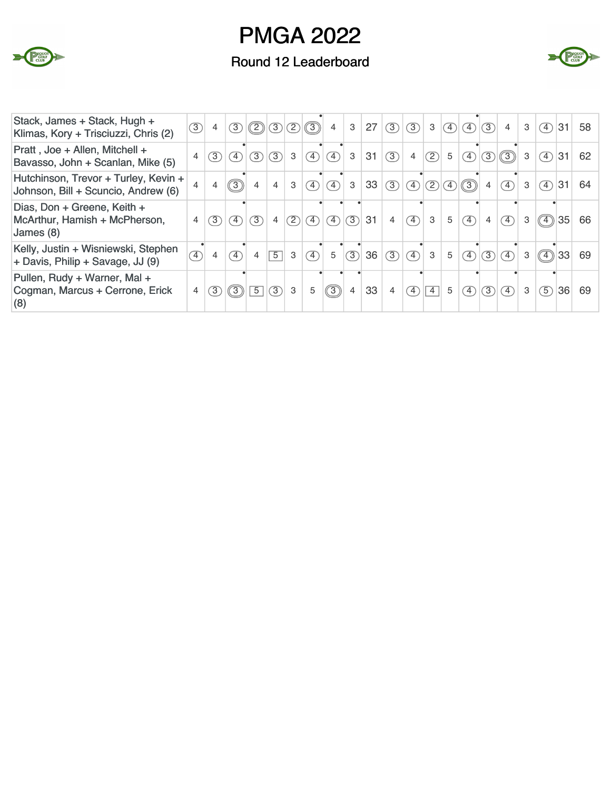

### Round 12 Leaderboard



| Stack, James + Stack, Hugh +<br>Klimas, Kory + Trisciuzzi, Chris (2)        | $\circled{3}$  | $\overline{4}$ | (3)                          | $\mathcal{O}(\mathcal{D} \mathcal{D})$ |                |              | $\circled{3}$                | $\overline{4}$               | 3            | 27 | (3)            | (3)                          | 3              | $\left( 4\right)$ | $\circ$                      | (3)            | $\overline{4}$               | 3 | $\circ$                                           | 31 | 58 |
|-----------------------------------------------------------------------------|----------------|----------------|------------------------------|----------------------------------------|----------------|--------------|------------------------------|------------------------------|--------------|----|----------------|------------------------------|----------------|-------------------|------------------------------|----------------|------------------------------|---|---------------------------------------------------|----|----|
| Pratt, Joe + Allen, Mitchell +<br>Bavasso, John + Scanlan, Mike (5)         | 4              | 3)             | $\circ$                      | 3)                                     | $\sqrt{3}$     | 3            | $\circled{4}$                | $\mathcal{F}$                | 3            | 31 | (3)            | $\overline{4}$               | (2)            | $5\overline{)}$   | $\circled{4}$                | 3              | $\circledS$                  | 3 | $\left( \overline{4}\right)$                      | 31 | 62 |
| Hutchinson, Trevor + Turley, Kevin +<br>Johnson, Bill + Scuncio, Andrew (6) | $\overline{4}$ | 4              | $\circled{3}$                | 4                                      | 4              | $\mathbf{3}$ | $\circled{4}$                | $\mathcal{F}$                | $\mathbf{3}$ | 33 | (3)            | $\circ$                      | $\frac{1}{2}$  | $\circled{4}$     | $\circledS$                  | 4              | $\left( \overline{4}\right)$ | 3 | $\circ$                                           | 31 | 64 |
| Dias, Don + Greene, Keith +<br>McArthur, Hamish + McPherson,<br>James (8)   | $\overline{4}$ | 3              | $\left( \overline{4}\right)$ | $\circled{3}$                          | $\overline{4}$ | (2)          | $\circledA)$                 | $\left( \overline{4}\right)$ | (3)          | 31 | $\overline{4}$ | $\left( \overline{4}\right)$ | 3              | 5                 | $\left( \overline{4}\right)$ | $\overline{4}$ | $\left( \overline{4}\right)$ | 3 | $\circledcirc$                                    | 35 | 66 |
| Kelly, Justin + Wisniewski, Stephen<br>+ Davis, Philip + Savage, JJ (9)     | $\overline{4}$ | 4              | $\left( \overline{4}\right)$ | $\overline{4}$                         | $\boxed{5}$    | 3            | $\left( \overline{4}\right)$ | 5                            | (3)          | 36 | (3)            | $\left( \overline{4}\right)$ | $\mathbf{3}$   | 5 <sup>5</sup>    | $\left( \overline{4}\right)$ | (3)            | $\overline{4}$               | 3 | $\circled{\scriptstyle\mathrm{\scriptstyle (4)}}$ | 33 | 69 |
| Pullen, Rudy + Warner, Mal +<br>Cogman, Marcus + Cerrone, Erick<br>(8)      | $\overline{4}$ | 3              | $\circledS$                  | $\overline{5}$                         | (3)            | 3            | 5                            | $\circled{3}$                | 4            | 33 | $\overline{4}$ | 4                            | $\overline{4}$ | 5                 | $\left( \overline{4}\right)$ | 3)             | $\boxed{4}$                  | 3 | $\circ$                                           | 36 | 69 |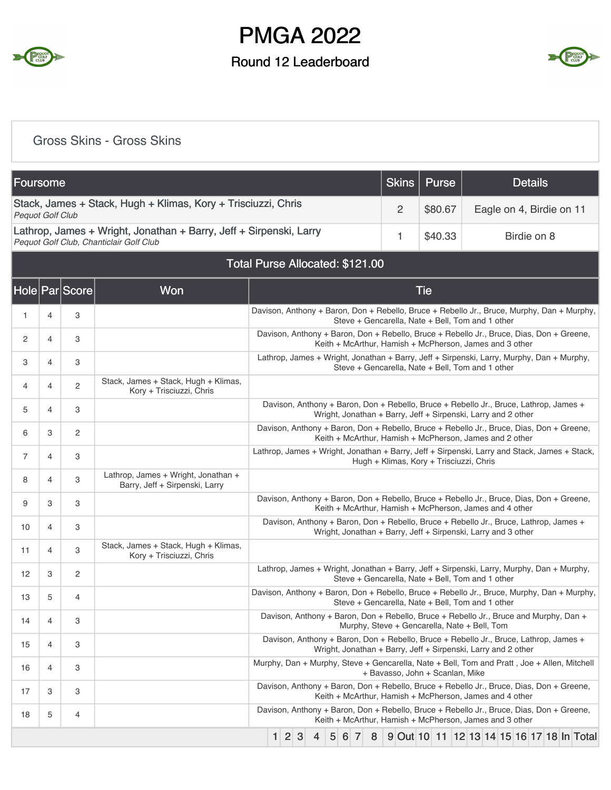

### Round 12 Leaderboard



#### Gross Skins - Gross Skins

| Foursome                |   |                |                                                                                                               |                                                                                                                                                                                                                      |             |  |  |   |   |          |   |   |  | Skins                                                                                                                                                  |            |  | <b>Purse</b> |  |                          | <b>Details</b> |             |  |  |
|-------------------------|---|----------------|---------------------------------------------------------------------------------------------------------------|----------------------------------------------------------------------------------------------------------------------------------------------------------------------------------------------------------------------|-------------|--|--|---|---|----------|---|---|--|--------------------------------------------------------------------------------------------------------------------------------------------------------|------------|--|--------------|--|--------------------------|----------------|-------------|--|--|
| <b>Pequot Golf Club</b> |   |                | Stack, James + Stack, Hugh + Klimas, Kory + Trisciuzzi, Chris                                                 |                                                                                                                                                                                                                      |             |  |  |   |   |          |   |   |  | 2                                                                                                                                                      |            |  | \$80.67      |  | Eagle on 4, Birdie on 11 |                |             |  |  |
|                         |   |                | Lathrop, James + Wright, Jonathan + Barry, Jeff + Sirpenski, Larry<br>Pequot Golf Club, Chanticlair Golf Club |                                                                                                                                                                                                                      |             |  |  |   |   |          |   |   |  | 1                                                                                                                                                      |            |  | \$40.33      |  |                          |                | Birdie on 8 |  |  |
|                         |   |                |                                                                                                               | Total Purse Allocated: \$121.00                                                                                                                                                                                      |             |  |  |   |   |          |   |   |  |                                                                                                                                                        |            |  |              |  |                          |                |             |  |  |
|                         |   | Hole Par Score | Won                                                                                                           |                                                                                                                                                                                                                      |             |  |  |   |   |          |   |   |  |                                                                                                                                                        | <b>Tie</b> |  |              |  |                          |                |             |  |  |
| 1                       | 4 | 3              |                                                                                                               | Davison, Anthony + Baron, Don + Rebello, Bruce + Rebello Jr., Bruce, Murphy, Dan + Murphy,                                                                                                                           |             |  |  |   |   |          |   |   |  | Steve + Gencarella, Nate + Bell, Tom and 1 other                                                                                                       |            |  |              |  |                          |                |             |  |  |
| 2                       | 4 | 3              |                                                                                                               |                                                                                                                                                                                                                      |             |  |  |   |   |          |   |   |  | Davison, Anthony + Baron, Don + Rebello, Bruce + Rebello Jr., Bruce, Dias, Don + Greene,<br>Keith + McArthur, Hamish + McPherson, James and 3 other    |            |  |              |  |                          |                |             |  |  |
| 3                       | 4 | 3              |                                                                                                               |                                                                                                                                                                                                                      |             |  |  |   |   |          |   |   |  | Lathrop, James + Wright, Jonathan + Barry, Jeff + Sirpenski, Larry, Murphy, Dan + Murphy,<br>Steve + Gencarella, Nate + Bell, Tom and 1 other          |            |  |              |  |                          |                |             |  |  |
| 4                       | 4 | $\overline{2}$ | Stack, James + Stack, Hugh + Klimas,<br>Kory + Trisciuzzi, Chris                                              |                                                                                                                                                                                                                      |             |  |  |   |   |          |   |   |  |                                                                                                                                                        |            |  |              |  |                          |                |             |  |  |
| 5                       | 4 | 3              |                                                                                                               |                                                                                                                                                                                                                      |             |  |  |   |   |          |   |   |  | Davison, Anthony + Baron, Don + Rebello, Bruce + Rebello Jr., Bruce, Lathrop, James +                                                                  |            |  |              |  |                          |                |             |  |  |
| 6                       | 3 | $\overline{c}$ |                                                                                                               | Wright, Jonathan + Barry, Jeff + Sirpenski, Larry and 2 other<br>Davison, Anthony + Baron, Don + Rebello, Bruce + Rebello Jr., Bruce, Dias, Don + Greene,<br>Keith + McArthur, Hamish + McPherson, James and 2 other |             |  |  |   |   |          |   |   |  |                                                                                                                                                        |            |  |              |  |                          |                |             |  |  |
| 7                       | 4 | 3              |                                                                                                               | Lathrop, James + Wright, Jonathan + Barry, Jeff + Sirpenski, Larry and Stack, James + Stack,<br>Hugh + Klimas, Kory + Trisciuzzi, Chris                                                                              |             |  |  |   |   |          |   |   |  |                                                                                                                                                        |            |  |              |  |                          |                |             |  |  |
| 8                       | 4 | 3              | Lathrop, James + Wright, Jonathan +<br>Barry, Jeff + Sirpenski, Larry                                         |                                                                                                                                                                                                                      |             |  |  |   |   |          |   |   |  |                                                                                                                                                        |            |  |              |  |                          |                |             |  |  |
| 9                       | 3 | 3              |                                                                                                               |                                                                                                                                                                                                                      |             |  |  |   |   |          |   |   |  | Davison, Anthony + Baron, Don + Rebello, Bruce + Rebello Jr., Bruce, Dias, Don + Greene,<br>Keith + McArthur, Hamish + McPherson, James and 4 other    |            |  |              |  |                          |                |             |  |  |
| 10                      | 4 | 3              |                                                                                                               |                                                                                                                                                                                                                      |             |  |  |   |   |          |   |   |  | Davison, Anthony + Baron, Don + Rebello, Bruce + Rebello Jr., Bruce, Lathrop, James +<br>Wright, Jonathan + Barry, Jeff + Sirpenski, Larry and 3 other |            |  |              |  |                          |                |             |  |  |
| 11                      | 4 | 3              | Stack, James + Stack, Hugh + Klimas,<br>Kory + Trisciuzzi, Chris                                              |                                                                                                                                                                                                                      |             |  |  |   |   |          |   |   |  |                                                                                                                                                        |            |  |              |  |                          |                |             |  |  |
| 12                      | 3 | $\overline{c}$ |                                                                                                               |                                                                                                                                                                                                                      |             |  |  |   |   |          |   |   |  | Lathrop, James + Wright, Jonathan + Barry, Jeff + Sirpenski, Larry, Murphy, Dan + Murphy,<br>Steve + Gencarella, Nate + Bell, Tom and 1 other          |            |  |              |  |                          |                |             |  |  |
| 13                      | 5 | 4              |                                                                                                               | Davison, Anthony + Baron, Don + Rebello, Bruce + Rebello Jr., Bruce, Murphy, Dan + Murphy,                                                                                                                           |             |  |  |   |   |          |   |   |  | Steve + Gencarella, Nate + Bell, Tom and 1 other                                                                                                       |            |  |              |  |                          |                |             |  |  |
| 14                      | 4 | 3              |                                                                                                               |                                                                                                                                                                                                                      |             |  |  |   |   |          |   |   |  | Davison, Anthony + Baron, Don + Rebello, Bruce + Rebello Jr., Bruce and Murphy, Dan +<br>Murphy, Steve + Gencarella, Nate + Bell, Tom                  |            |  |              |  |                          |                |             |  |  |
| 15                      | 4 | 3              |                                                                                                               | Davison, Anthony + Baron, Don + Rebello, Bruce + Rebello Jr., Bruce, Lathrop, James +<br>Wright, Jonathan + Barry, Jeff + Sirpenski, Larry and 2 other                                                               |             |  |  |   |   |          |   |   |  |                                                                                                                                                        |            |  |              |  |                          |                |             |  |  |
| 16                      | 4 | 3              |                                                                                                               | Murphy, Dan + Murphy, Steve + Gencarella, Nate + Bell, Tom and Pratt, Joe + Allen, Mitchell<br>+ Bavasso, John + Scanlan, Mike                                                                                       |             |  |  |   |   |          |   |   |  |                                                                                                                                                        |            |  |              |  |                          |                |             |  |  |
| 17                      | 3 | 3              |                                                                                                               |                                                                                                                                                                                                                      |             |  |  |   |   |          |   |   |  | Davison, Anthony + Baron, Don + Rebello, Bruce + Rebello Jr., Bruce, Dias, Don + Greene,<br>Keith + McArthur, Hamish + McPherson, James and 4 other    |            |  |              |  |                          |                |             |  |  |
| 18                      | 5 | $\overline{4}$ |                                                                                                               |                                                                                                                                                                                                                      |             |  |  |   |   |          |   |   |  | Davison, Anthony + Baron, Don + Rebello, Bruce + Rebello Jr., Bruce, Dias, Don + Greene,<br>Keith + McArthur, Hamish + McPherson, James and 3 other    |            |  |              |  |                          |                |             |  |  |
|                         |   |                |                                                                                                               |                                                                                                                                                                                                                      | $1 \ 2 \ 3$ |  |  | 4 | 5 | $6 \mid$ | 7 | 8 |  | 9 Out 10 11 12 13 14 15 16 17 18 In Total                                                                                                              |            |  |              |  |                          |                |             |  |  |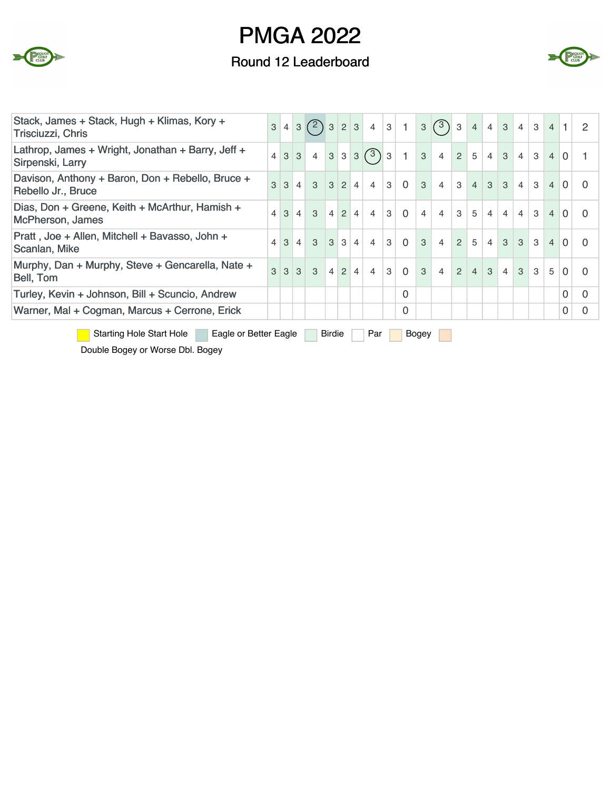

## Round 12 Leaderboard



| Stack, James + Stack, Hugh + Klimas, Kory +<br>Trisciuzzi, Chris       | 3                                                      |                   |                |                             |           |                  |           | $4 \begin{bmatrix} 3 \end{bmatrix}$ $\begin{bmatrix} 2 \end{bmatrix}$ $\begin{bmatrix} 3 \end{bmatrix}$ $\begin{bmatrix} 2 \end{bmatrix}$ $\begin{bmatrix} 3 \end{bmatrix}$ $\begin{bmatrix} 4 \end{bmatrix}$ $\begin{bmatrix} 3 \end{bmatrix}$ $\begin{bmatrix} 1 \end{bmatrix}$ |   |                |                | 3(3)3          |                | 4              |                | $4 \mid 3 \mid 4 \mid$ |                                 |               | $3 \mid 4 \mid 1 \mid$ |                 | 2        |
|------------------------------------------------------------------------|--------------------------------------------------------|-------------------|----------------|-----------------------------|-----------|------------------|-----------|-----------------------------------------------------------------------------------------------------------------------------------------------------------------------------------------------------------------------------------------------------------------------------------|---|----------------|----------------|----------------|----------------|----------------|----------------|------------------------|---------------------------------|---------------|------------------------|-----------------|----------|
| Lathrop, James + Wright, Jonathan + Barry, Jeff +<br>Sirpenski, Larry  |                                                        | $4 \mid 3 \mid 3$ |                | $4 \mid 3 \mid$             |           |                  |           | 33(3)3                                                                                                                                                                                                                                                                            |   | $\mathbf{1}$   | $\mathbf{3}$   | $\overline{4}$ | 2 <sup>1</sup> | 5 <sup>1</sup> | $\vert$ 4      | 3 <sup>1</sup>         | $\vert$ 4                       | $\mathbf{3}$  |                        | $4 \mid 0 \mid$ |          |
| Davison, Anthony + Baron, Don + Rebello, Bruce +<br>Rebello Jr., Bruce | 3                                                      | 3                 | $4^{\circ}$    | $3 \quad 3 \quad 2 \quad 4$ |           |                  |           | $\overline{4}$                                                                                                                                                                                                                                                                    | 3 | $\overline{0}$ | 3              | $\overline{4}$ | 3 <sup>1</sup> |                |                | $4 \mid 3 \mid 3 \mid$ | $\overline{4}$                  | $\mathcal{S}$ | $\overline{4}$         | $\Omega$        | $\Omega$ |
| Dias, Don + Greene, Keith + McArthur, Hamish +<br>McPherson, James     | $\overline{4}$                                         | 3                 | $\overline{4}$ | $\mathcal{S}$               | $\vert$ 4 | $\overline{2}$   | 4         | $\overline{4}$                                                                                                                                                                                                                                                                    | 3 | $\mathbf 0$    | $\overline{4}$ | $\overline{4}$ | 3              | 5              | $\overline{4}$ | $\overline{4}$         | $\overline{4}$                  | $\mathbf{3}$  | $\overline{4}$         | $\Omega$        | $\Omega$ |
| Pratt, Joe + Allen, Mitchell + Bavasso, John +<br>Scanlan, Mike        | $\overline{4}$                                         | 3                 | $\vert$        | $\mathcal{S}$               | 3         | 3                | 4         | $\overline{4}$                                                                                                                                                                                                                                                                    | 3 | $\overline{0}$ | 3              | $\overline{4}$ | $\overline{2}$ | 5              | $\overline{4}$ |                        | $3 \overline{\smash{\big)}\ 3}$ | 3             | $\overline{4}$         | $\Omega$        | $\Omega$ |
| Murphy, Dan + Murphy, Steve + Gencarella, Nate +<br>Bell, Tom          | 3                                                      | $3 \mid 3$        |                | $\mathcal{S}$               |           | $4 \overline{2}$ | $\vert$ 4 | $\overline{4}$                                                                                                                                                                                                                                                                    | 3 | $\mathbf{0}$   | 3              | $\overline{4}$ | 2 <sup>1</sup> | $\overline{4}$ | $\mathbf{3}$   | 4                      | $\mathcal{S}$                   | $\mathcal{S}$ | 5                      | $\Omega$        | $\Omega$ |
| Turley, Kevin + Johnson, Bill + Scuncio, Andrew                        |                                                        |                   |                |                             |           |                  |           |                                                                                                                                                                                                                                                                                   |   | 0              |                |                |                |                |                |                        |                                 |               |                        | 0               | 0        |
| Warner, Mal + Cogman, Marcus + Cerrone, Erick                          |                                                        |                   |                |                             |           |                  |           |                                                                                                                                                                                                                                                                                   |   | 0              |                |                |                |                |                |                        |                                 |               |                        | 0               | $\Omega$ |
| <b>Starting Hole Start Hole</b>                                        | Eagle or Better Eagle<br>Par<br><b>Birdie</b><br>Bogey |                   |                |                             |           |                  |           |                                                                                                                                                                                                                                                                                   |   |                |                |                |                |                |                |                        |                                 |               |                        |                 |          |

Double Bogey or Worse Dbl. Bogey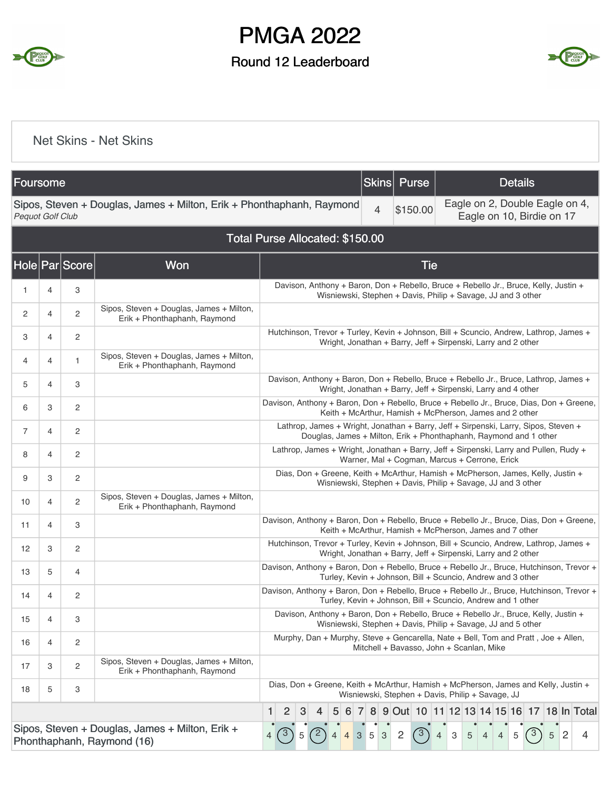

### Round 12 Leaderboard



#### Net Skins - Net Skins

| Foursome                |   |                |                                                                               |                                                                                                                                                                                                                                                    |  |            |   |               |  |  |                |                | <b>Skins</b>    |              |                | Purse                                                         |                |                           |                |                |   | <b>Details</b>                                                                                                                                       |   |                |                                                                                           |
|-------------------------|---|----------------|-------------------------------------------------------------------------------|----------------------------------------------------------------------------------------------------------------------------------------------------------------------------------------------------------------------------------------------------|--|------------|---|---------------|--|--|----------------|----------------|-----------------|--------------|----------------|---------------------------------------------------------------|----------------|---------------------------|----------------|----------------|---|------------------------------------------------------------------------------------------------------------------------------------------------------|---|----------------|-------------------------------------------------------------------------------------------|
| <b>Pequot Golf Club</b> |   |                | Sipos, Steven + Douglas, James + Milton, Erik + Phonthaphanh, Raymond         |                                                                                                                                                                                                                                                    |  |            |   |               |  |  |                |                | $\overline{4}$  |              |                | \$150.00                                                      |                |                           |                |                |   | Eagle on 2, Double Eagle on 4,<br>Eagle on 10, Birdie on 17                                                                                          |   |                |                                                                                           |
|                         |   |                | Total Purse Allocated: \$150.00                                               |                                                                                                                                                                                                                                                    |  |            |   |               |  |  |                |                |                 |              |                |                                                               |                |                           |                |                |   |                                                                                                                                                      |   |                |                                                                                           |
|                         |   | Hole Par Score | <b>Won</b>                                                                    |                                                                                                                                                                                                                                                    |  |            |   |               |  |  |                |                |                 |              |                | <b>Tie</b>                                                    |                |                           |                |                |   |                                                                                                                                                      |   |                |                                                                                           |
| 1                       | 4 | 3              |                                                                               |                                                                                                                                                                                                                                                    |  |            |   |               |  |  |                |                |                 |              |                |                                                               |                |                           |                |                |   | Davison, Anthony + Baron, Don + Rebello, Bruce + Rebello Jr., Bruce, Kelly, Justin +<br>Wisniewski, Stephen + Davis, Philip + Savage, JJ and 3 other |   |                |                                                                                           |
| 2                       | 4 | 2              | Sipos, Steven + Douglas, James + Milton,<br>Erik + Phonthaphanh, Raymond      |                                                                                                                                                                                                                                                    |  |            |   |               |  |  |                |                |                 |              |                |                                                               |                |                           |                |                |   |                                                                                                                                                      |   |                |                                                                                           |
| 3                       | 4 | 2              |                                                                               |                                                                                                                                                                                                                                                    |  |            |   |               |  |  |                |                |                 |              |                | Wright, Jonathan + Barry, Jeff + Sirpenski, Larry and 2 other |                |                           |                |                |   |                                                                                                                                                      |   |                | Hutchinson, Trevor + Turley, Kevin + Johnson, Bill + Scuncio, Andrew, Lathrop, James +    |
| 4                       | 4 | 1              | Sipos, Steven + Douglas, James + Milton,<br>Erik + Phonthaphanh, Raymond      |                                                                                                                                                                                                                                                    |  |            |   |               |  |  |                |                |                 |              |                |                                                               |                |                           |                |                |   |                                                                                                                                                      |   |                |                                                                                           |
| 5                       | 4 | 3              |                                                                               | Davison, Anthony + Baron, Don + Rebello, Bruce + Rebello Jr., Bruce, Lathrop, James +<br>Wright, Jonathan + Barry, Jeff + Sirpenski, Larry and 4 other<br>Davison, Anthony + Baron, Don + Rebello, Bruce + Rebello Jr., Bruce, Dias, Don + Greene, |  |            |   |               |  |  |                |                |                 |              |                |                                                               |                |                           |                |                |   |                                                                                                                                                      |   |                |                                                                                           |
| 6                       | 3 | 2              |                                                                               |                                                                                                                                                                                                                                                    |  |            |   |               |  |  |                |                |                 |              |                | Keith + McArthur, Hamish + McPherson, James and 2 other       |                |                           |                |                |   |                                                                                                                                                      |   |                |                                                                                           |
| $\overline{7}$          | 4 | $\overline{c}$ |                                                                               | Lathrop, James + Wright, Jonathan + Barry, Jeff + Sirpenski, Larry, Sipos, Steven +<br>Douglas, James + Milton, Erik + Phonthaphanh, Raymond and 1 other                                                                                           |  |            |   |               |  |  |                |                |                 |              |                |                                                               |                |                           |                |                |   |                                                                                                                                                      |   |                |                                                                                           |
| 8                       | 4 | 2              |                                                                               | Lathrop, James + Wright, Jonathan + Barry, Jeff + Sirpenski, Larry and Pullen, Rudy +<br>Warner, Mal + Cogman, Marcus + Cerrone, Erick                                                                                                             |  |            |   |               |  |  |                |                |                 |              |                |                                                               |                |                           |                |                |   |                                                                                                                                                      |   |                |                                                                                           |
| 9                       | 3 | 2              |                                                                               |                                                                                                                                                                                                                                                    |  |            |   |               |  |  |                |                |                 |              |                |                                                               |                |                           |                |                |   | Dias, Don + Greene, Keith + McArthur, Hamish + McPherson, James, Kelly, Justin +<br>Wisniewski, Stephen + Davis, Philip + Savage, JJ and 3 other     |   |                |                                                                                           |
| 10                      | 4 | 2              | Sipos, Steven + Douglas, James + Milton,<br>Erik + Phonthaphanh, Raymond      |                                                                                                                                                                                                                                                    |  |            |   |               |  |  |                |                |                 |              |                |                                                               |                |                           |                |                |   |                                                                                                                                                      |   |                |                                                                                           |
| 11                      | 4 | 3              |                                                                               |                                                                                                                                                                                                                                                    |  |            |   |               |  |  |                |                |                 |              |                | Keith + McArthur, Hamish + McPherson, James and 7 other       |                |                           |                |                |   |                                                                                                                                                      |   |                | Davison, Anthony + Baron, Don + Rebello, Bruce + Rebello Jr., Bruce, Dias, Don + Greene,  |
| 12                      | 3 | 2              |                                                                               |                                                                                                                                                                                                                                                    |  |            |   |               |  |  |                |                |                 |              |                | Wright, Jonathan + Barry, Jeff + Sirpenski, Larry and 2 other |                |                           |                |                |   |                                                                                                                                                      |   |                | Hutchinson, Trevor + Turley, Kevin + Johnson, Bill + Scuncio, Andrew, Lathrop, James +    |
| 13                      | 5 | 4              |                                                                               |                                                                                                                                                                                                                                                    |  |            |   |               |  |  |                |                |                 |              |                | Turley, Kevin + Johnson, Bill + Scuncio, Andrew and 3 other   |                |                           |                |                |   |                                                                                                                                                      |   |                | Davison, Anthony + Baron, Don + Rebello, Bruce + Rebello Jr., Bruce, Hutchinson, Trevor + |
| 14                      | 4 | 2              |                                                                               |                                                                                                                                                                                                                                                    |  |            |   |               |  |  |                |                |                 |              |                | Turley, Kevin + Johnson, Bill + Scuncio, Andrew and 1 other   |                |                           |                |                |   |                                                                                                                                                      |   |                | Davison, Anthony + Baron, Don + Rebello, Bruce + Rebello Jr., Bruce, Hutchinson, Trevor + |
| 15                      | 4 | 3              |                                                                               |                                                                                                                                                                                                                                                    |  |            |   |               |  |  |                |                |                 |              |                |                                                               |                |                           |                |                |   | Davison, Anthony + Baron, Don + Rebello, Bruce + Rebello Jr., Bruce, Kelly, Justin +<br>Wisniewski, Stephen + Davis, Philip + Savage, JJ and 5 other |   |                |                                                                                           |
| 16                      | 4 | $\overline{c}$ |                                                                               | Murphy, Dan + Murphy, Steve + Gencarella, Nate + Bell, Tom and Pratt, Joe + Allen,<br>Mitchell + Bavasso, John + Scanlan, Mike                                                                                                                     |  |            |   |               |  |  |                |                |                 |              |                |                                                               |                |                           |                |                |   |                                                                                                                                                      |   |                |                                                                                           |
| 17                      | 3 | $\overline{c}$ | Sipos, Steven + Douglas, James + Milton,<br>Erik + Phonthaphanh, Raymond      |                                                                                                                                                                                                                                                    |  |            |   |               |  |  |                |                |                 |              |                |                                                               |                |                           |                |                |   |                                                                                                                                                      |   |                |                                                                                           |
| 18                      | 5 | 3              |                                                                               | Dias, Don + Greene, Keith + McArthur, Hamish + McPherson, James and Kelly, Justin +<br>Wisniewski, Stephen + Davis, Philip + Savage, JJ                                                                                                            |  |            |   |               |  |  |                |                |                 |              |                |                                                               |                |                           |                |                |   |                                                                                                                                                      |   |                |                                                                                           |
|                         |   |                |                                                                               | 1<br>2<br>3<br>8 9 Out 10 11 12 13 14 15 16 17 18 In Total<br>4<br>5<br>6<br>$\sqrt{ }$                                                                                                                                                            |  |            |   |               |  |  |                |                |                 |              |                |                                                               |                |                           |                |                |   |                                                                                                                                                      |   |                |                                                                                           |
|                         |   |                | Sipos, Steven + Douglas, James + Milton, Erik +<br>Phonthaphanh, Raymond (16) | 4                                                                                                                                                                                                                                                  |  | $\sqrt{3}$ | 5 | $^{\prime}$ 2 |  |  | $\overline{4}$ | 3 <sup>1</sup> | $5\phantom{.0}$ | $\mathbf{3}$ | $\overline{2}$ | $\mathcal{B}$                                                 | $\overline{4}$ | $\mathbf 3$<br>$\sqrt{5}$ | $\overline{4}$ | $\overline{4}$ | 5 | $\mathcal{E}$                                                                                                                                        | 5 | $\overline{c}$ | 4                                                                                         |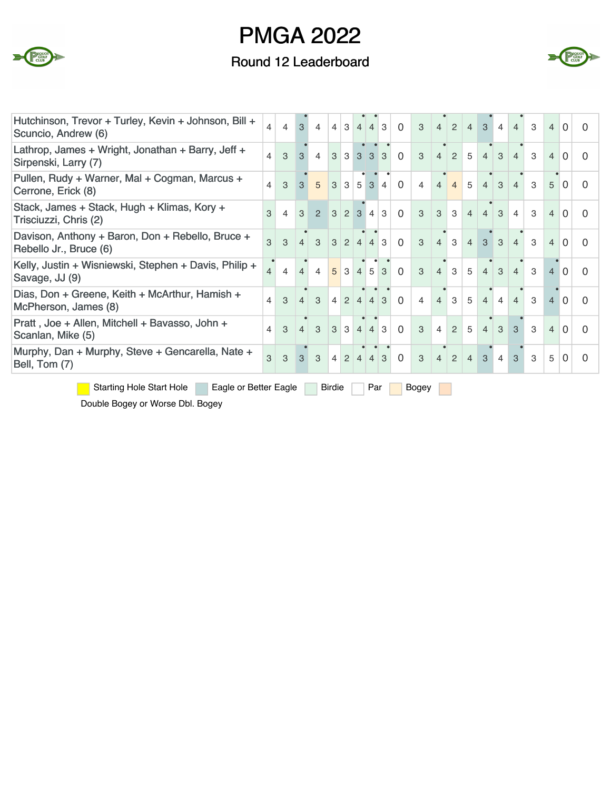

### Round 12 Leaderboard



| Hutchinson, Trevor + Turley, Kevin + Johnson, Bill +<br>Scuncio, Andrew (6) | $\overline{4}$                                  | $\overline{4}$ | 3              | $\overline{4}$ |               | 4 3              | 4                           | $\overline{4}$    | 3              | $\Omega$ | 3              | 4              | 2              | $\overline{4}$ | 3              | $\overline{4}$ | 4              | 3             | $\overline{4}$ | $\Omega$ | 0        |
|-----------------------------------------------------------------------------|-------------------------------------------------|----------------|----------------|----------------|---------------|------------------|-----------------------------|-------------------|----------------|----------|----------------|----------------|----------------|----------------|----------------|----------------|----------------|---------------|----------------|----------|----------|
| Lathrop, James + Wright, Jonathan + Barry, Jeff +<br>Sirpenski, Larry (7)   | $\overline{4}$                                  | 3              | 3 <sup>1</sup> | $\overline{4}$ |               |                  | $3 \quad 3 \quad 3 \quad 3$ |                   | $\mathcal{S}$  | $\Omega$ | 3              | $\overline{4}$ | $\overline{2}$ | 5              | $\overline{4}$ | 3              | $\overline{4}$ | 3             | $\overline{4}$ | $\Omega$ |          |
| Pullen, Rudy + Warner, Mal + Cogman, Marcus +<br>Cerrone, Erick (8)         | 4                                               | 3              | $\mathcal{S}$  | $\overline{5}$ | $\mathcal{S}$ | 3                |                             | $5 \mid 3$        | $\overline{4}$ | $\Omega$ | $\overline{4}$ | $\overline{4}$ | $\overline{4}$ | 5              | $\overline{4}$ | 3              | $\overline{4}$ | 3             | 5              | $\Omega$ |          |
| Stack, James + Stack, Hugh + Klimas, Kory +<br>Trisciuzzi, Chris (2)        | 3                                               | $\overline{4}$ | 3              | $\mathcal{P}$  |               | $3 \mid 2$       | 3                           | $\overline{4}$    | 3              | $\Omega$ | 3              | 3              | 3              | $\overline{4}$ | $\overline{4}$ | 3              | $\overline{4}$ | 3             | $\overline{4}$ | $\Omega$ |          |
| Davison, Anthony + Baron, Don + Rebello, Bruce +<br>Rebello Jr., Bruce (6)  | $\overline{3}$                                  | 3              | $\overline{4}$ | $\mathbf{3}$   |               | $3 \mid 2$       |                             | $4 \mid 4$        | 3              | $\Omega$ | $\overline{3}$ | 4              | $\mathbf{3}$   | $\overline{4}$ | 3 <sup>1</sup> | 3              | $\overline{4}$ | 3             | $\overline{4}$ | $\Omega$ | O        |
| Kelly, Justin + Wisniewski, Stephen + Davis, Philip +<br>Savage, JJ (9)     | $\overline{4}$                                  | $\overline{4}$ | $\overline{4}$ | $\overline{4}$ |               | $5 \mid 3$       | $\overline{4}$              | 5 <sup>1</sup>    | 3              | $\Omega$ | 3              | $\overline{4}$ | 3              | 5              | $\overline{4}$ | 3              | $\overline{4}$ | $\mathcal{S}$ | $\overline{4}$ | $\Omega$ | 0        |
| Dias, Don + Greene, Keith + McArthur, Hamish +<br>McPherson, James (8)      | $\overline{4}$                                  | 3              | $\overline{4}$ | $\mathcal{S}$  |               | $4 \overline{2}$ |                             | $4 \mid 4 \mid 3$ |                | $\Omega$ | $\overline{4}$ | $\overline{4}$ | $\mathcal{S}$  | 5              | $\overline{4}$ | $\overline{4}$ | $\overline{4}$ | 3             | 4              | $\Omega$ | 0        |
| Pratt, Joe + Allen, Mitchell + Bavasso, John +<br>Scanlan, Mike (5)         | 4                                               | 3              | $\overline{4}$ | $\mathcal{S}$  |               | $3 \mid 3$       |                             | $4 \mid 4 \mid 3$ |                | $\Omega$ | 3              | 4              | $\overline{2}$ | 5              | $\overline{4}$ | 3              | 3              | 3             | $\overline{4}$ | $\Omega$ | 0        |
| Murphy, Dan + Murphy, Steve + Gencarella, Nate +<br>Bell, Tom (7)           | 3                                               | 3              | $\mathbf{3}$   | 3              | $4^{\circ}$   |                  | $2 \mid 4 \mid 4 \mid 3$    |                   |                | $\Omega$ | 3              | $\overline{4}$ | $\overline{2}$ | $\overline{4}$ | 3              | $\overline{4}$ | 3              | 3             | 5              | $\Omega$ | $\Omega$ |
| <b>Starting Hole Start Hole</b>                                             | Eagle or Better Eagle<br>Birdie<br>Par<br>Bogey |                |                |                |               |                  |                             |                   |                |          |                |                |                |                |                |                |                |               |                |          |          |

Double Bogey or Worse Dbl. Bogey